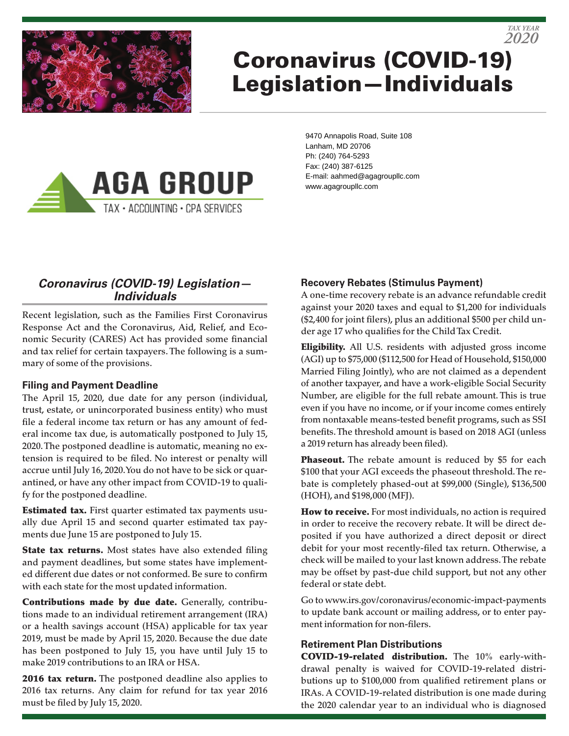

# Coronavirus (COVID-19) Legislation—Individuals



9470 Annapolis Road, Suite 108 Lanham, MD 20706 Ph: (240) 764-5293 Fax: (240) 387-6125 E-mail: aahmed@agagroupllc.com www.agagroupllc.com

# *Coronavirus (COVID-19) Legislation— Individuals*

Recent legislation, such as the Families First Coronavirus Response Act and the Coronavirus, Aid, Relief, and Economic Security (CARES) Act has provided some financial and tax relief for certain taxpayers. The following is a summary of some of the provisions.

#### **Filing and Payment Deadline**

The April 15, 2020, due date for any person (individual, trust, estate, or unincorporated business entity) who must file a federal income tax return or has any amount of federal income tax due, is automatically postponed to July 15, 2020. The postponed deadline is automatic, meaning no extension is required to be filed. No interest or penalty will accrue until July 16, 2020. You do not have to be sick or quarantined, or have any other impact from COVID-19 to qualify for the postponed deadline.

**Estimated tax.** First quarter estimated tax payments usually due April 15 and second quarter estimated tax payments due June 15 are postponed to July 15.

State tax returns. Most states have also extended filing and payment deadlines, but some states have implemented different due dates or not conformed. Be sure to confirm with each state for the most updated information.

Contributions made by due date. Generally, contributions made to an individual retirement arrangement (IRA) or a health savings account (HSA) applicable for tax year 2019, must be made by April 15, 2020. Because the due date has been postponed to July 15, you have until July 15 to make 2019 contributions to an IRA or HSA.

2016 tax return. The postponed deadline also applies to 2016 tax returns. Any claim for refund for tax year 2016 must be filed by July 15, 2020.

# **Recovery Rebates (Stimulus Payment)**

A one-time recovery rebate is an advance refundable credit against your 2020 taxes and equal to \$1,200 for individuals (\$2,400 for joint filers), plus an additional \$500 per child under age 17 who qualifies for the Child Tax Credit.

*2020 TAX YEAR*

**Eligibility.** All U.S. residents with adjusted gross income (AGI) up to \$75,000 (\$112,500 for Head of Household, \$150,000 Married Filing Jointly), who are not claimed as a dependent of another taxpayer, and have a work-eligible Social Security Number, are eligible for the full rebate amount. This is true even if you have no income, or if your income comes entirely from nontaxable means-tested benefit programs, such as SSI benefits. The threshold amount is based on 2018 AGI (unless a 2019 return has already been filed).

Phaseout. The rebate amount is reduced by \$5 for each \$100 that your AGI exceeds the phaseout threshold. The rebate is completely phased-out at \$99,000 (Single), \$136,500 (HOH), and \$198,000 (MFJ).

**How to receive.** For most individuals, no action is required in order to receive the recovery rebate. It will be direct deposited if you have authorized a direct deposit or direct debit for your most recently-filed tax return. Otherwise, a check will be mailed to your last known address. The rebate may be offset by past-due child support, but not any other federal or state debt.

Go to www.irs.gov/coronavirus/economic-impact-payments to update bank account or mailing address, or to enter payment information for non-filers.

## **Retirement Plan Distributions**

COVID-19-related distribution. The 10% early-withdrawal penalty is waived for COVID-19-related distributions up to \$100,000 from qualified retirement plans or IRAs. A COVID-19-related distribution is one made during the 2020 calendar year to an individual who is diagnosed